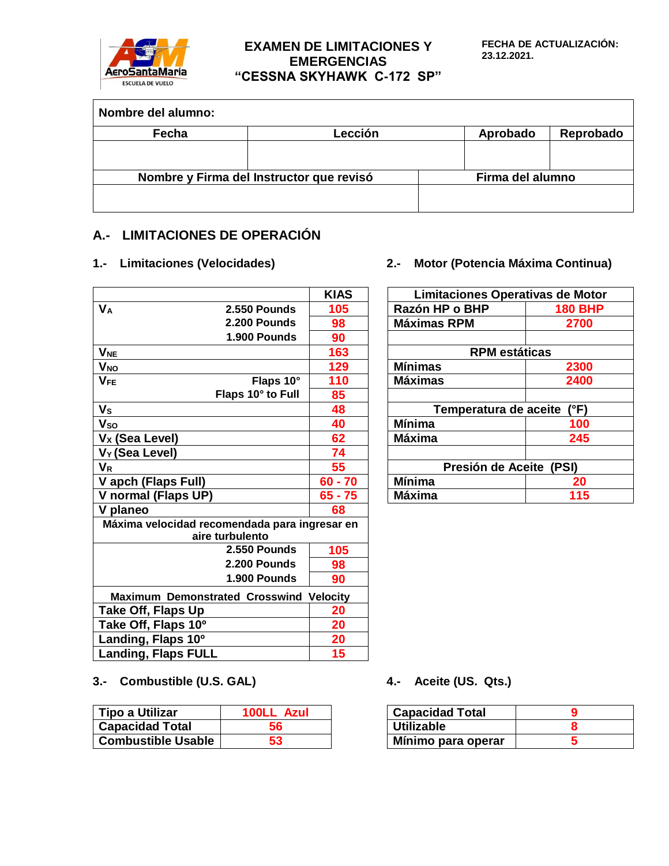

# **EXAMEN DE LIMITACIONES Y EMERGENCIAS "CESSNA SKYHAWK C-172 SP"**

| Nombre del alumno: |                                          |                  |           |
|--------------------|------------------------------------------|------------------|-----------|
| Fecha              | Lección                                  | Aprobado         | Reprobado |
|                    |                                          |                  |           |
|                    | Nombre y Firma del Instructor que revisó | Firma del alumno |           |
|                    |                                          |                  |           |

# **A.- LIMITACIONES DE OPERACIÓN**

|                                                |                                               | <b>KIAS</b> | Limitaciones Operativas de Moto |                |
|------------------------------------------------|-----------------------------------------------|-------------|---------------------------------|----------------|
| <b>V<sub>A</sub></b>                           | 2.550 Pounds                                  | 105         | Razón HP o BHP                  | <b>180 BHP</b> |
|                                                | 2.200 Pounds                                  | 98          | <b>Máximas RPM</b>              | 2700           |
|                                                | 1.900 Pounds                                  | 90          |                                 |                |
| <b>V<sub>NE</sub></b>                          |                                               | 163         | <b>RPM</b> estáticas            |                |
| <b>V<sub>NO</sub></b>                          |                                               | 129         | <b>Mínimas</b>                  | 2300           |
| $V_{FE}$                                       | Flaps 10°                                     | 110         | <b>Máximas</b>                  | 2400           |
|                                                | Flaps 10° to Full                             | 85          |                                 |                |
| V <sub>s</sub>                                 |                                               | 48          | Temperatura de aceite           | (°F)           |
| Vso                                            |                                               | 40          | <b>Mínima</b>                   | 100            |
| V <sub>x</sub> (Sea Level)                     |                                               | 62          | <b>Máxima</b>                   | 245            |
| V <sub>Y</sub> (Sea Level)                     |                                               | 74          |                                 |                |
| <b>V<sub>R</sub></b>                           |                                               | 55          | Presión de Aceite (PSI)         |                |
| V apch (Flaps Full)                            |                                               | $60 - 70$   | <b>Mínima</b>                   | 20             |
| V normal (Flaps UP)                            |                                               | $65 - 75$   | <b>Máxima</b>                   | 115            |
| V planeo                                       |                                               | 68          |                                 |                |
|                                                | Máxima velocidad recomendada para ingresar en |             |                                 |                |
|                                                | aire turbulento                               |             |                                 |                |
|                                                | 2.550 Pounds                                  | 105         |                                 |                |
|                                                | 2.200 Pounds                                  | 98          |                                 |                |
|                                                | 1.900 Pounds                                  | 90          |                                 |                |
| <b>Maximum Demonstrated Crosswind Velocity</b> |                                               |             |                                 |                |
| Take Off, Flaps Up                             |                                               | 20          |                                 |                |
| Take Off, Flaps 10°                            |                                               | 20          |                                 |                |
| Landing, Flaps 10°                             |                                               | 20          |                                 |                |
| <b>Landing, Flaps FULL</b>                     |                                               | 15          |                                 |                |

## **1.- Limitaciones (Velocidades) 2.- Motor (Potencia Máxima Continua)**

| <b>KIAS</b> | Limitaciones Operativas de Motor |                |
|-------------|----------------------------------|----------------|
| 105         | Razón HP o BHP                   | <b>180 BHP</b> |
| 98          | <b>Máximas RPM</b>               | 2700           |
| 90          |                                  |                |
| 163         | <b>RPM</b> estáticas             |                |
| 129         | <b>Mínimas</b>                   | 2300           |
| 110         | <b>Máximas</b>                   | 2400           |
| 85          |                                  |                |
| 48          | Temperatura de aceite            | (°F)           |
| 40          | <b>Mínima</b>                    | 100            |
| 62          | <b>Máxima</b>                    | 245            |
| 74          |                                  |                |
| 55          | Presión de Aceite (PSI)          |                |
| $30 - 70$   | <b>Mínima</b>                    | 20             |
| $5 - 75$    | <b>Máxima</b>                    | 115            |
|             |                                  |                |

# **3.- Combustible (U.S. GAL) 4.- Aceite (US. Qts.)**

| Tipo a Utilizar<br>100LL Azul |    | <b>Capacidad Total</b> |  |
|-------------------------------|----|------------------------|--|
| <b>Capacidad Total</b>        | 56 | <b>Utilizable</b>      |  |
| <b>Combustible Usable</b>     | 53 | Mínimo para operar     |  |

| <b>Capacidad Total</b> |  |
|------------------------|--|
| Utilizable             |  |
| Mínimo para operar     |  |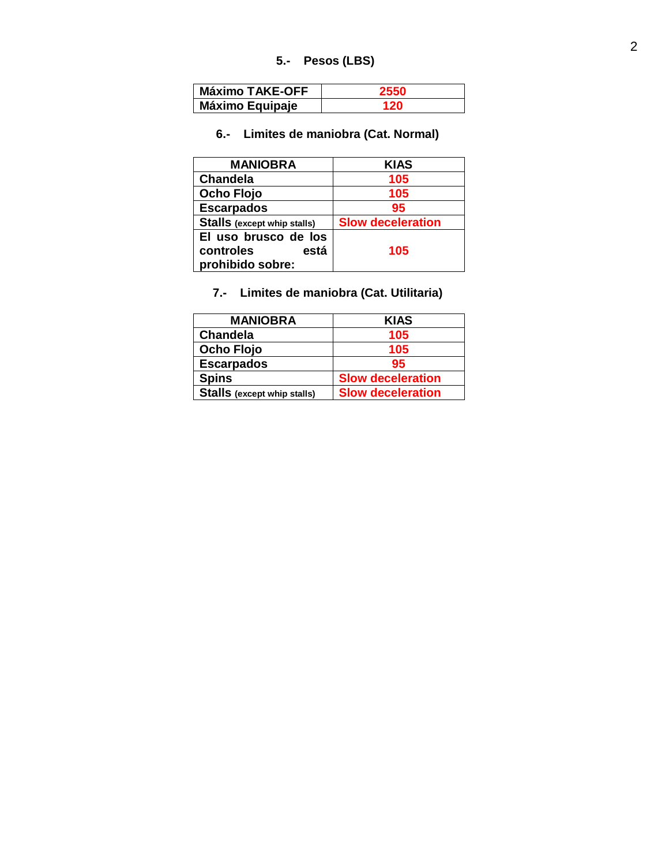### **5 . - Pesos (LBS)**

| <b>Máximo TAKE-OFF</b> |  |
|------------------------|--|
| <b>Máximo Equipaje</b> |  |

#### **6 . - Limites de maniobra (Cat. Normal)**

| <b>MANIOBRA</b>                                               | <b>KIAS</b>              |
|---------------------------------------------------------------|--------------------------|
| <b>Chandela</b>                                               | 105                      |
| <b>Ocho Flojo</b>                                             | 105                      |
| <b>Escarpados</b>                                             | 95                       |
| <b>Stalls</b> (except whip stalls)                            | <b>Slow deceleration</b> |
| El uso brusco de los<br>controles<br>está<br>prohibido sobre: | 105                      |

#### **7 . - Limites de maniobra (Cat. Utilitaria )**

| <b>MANIOBRA</b>                    | <b>KIAS</b>              |
|------------------------------------|--------------------------|
| <b>Chandela</b>                    | 105                      |
| <b>Ocho Flojo</b>                  | 105                      |
| <b>Escarpados</b>                  | 95                       |
| <b>Spins</b>                       | <b>Slow deceleration</b> |
| <b>Stalls</b> (except whip stalls) | <b>Slow deceleration</b> |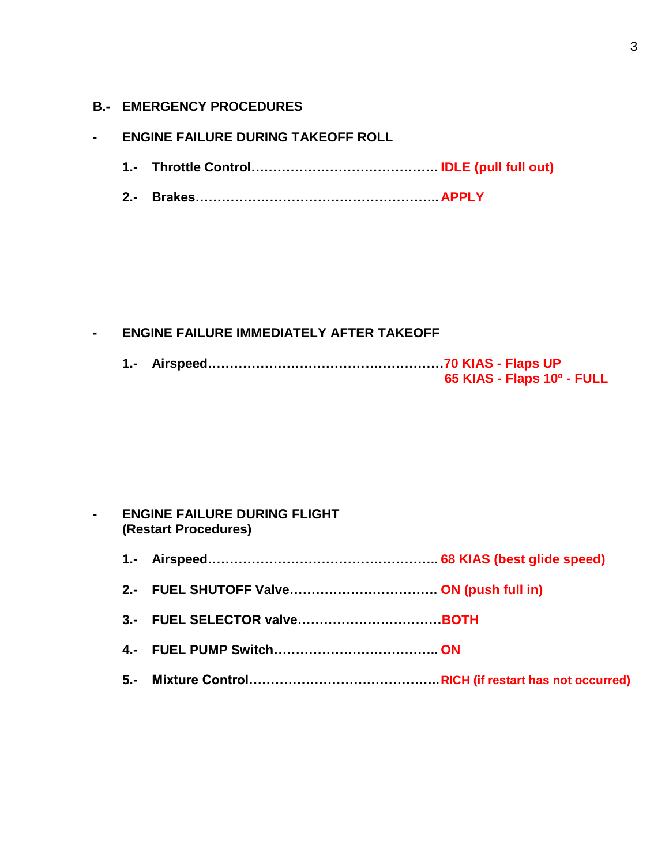## **B.- EMERGENCY PROCEDURES**

### **- ENGINE FAILURE DURING TAKEOFF ROLL**

- **1.- Throttle Control……………………………………. IDLE (pull full out)**
- **2.- Brakes……………………………………………….. APPLY**

## **- ENGINE FAILURE IMMEDIATELY AFTER TAKEOFF**

|  | 65 KIAS - Flaps 10º - FULL |
|--|----------------------------|

## **- ENGINE FAILURE DURING FLIGHT (Restart Procedures)**

- **1.- Airspeed…………………………………………….. 68 KIAS (best glide speed)**
- **2.- FUEL SHUTOFF Valve……………………………. ON (push full in)**
- **3.- FUEL SELECTOR valve……………………………BOTH**
- **4.- FUEL PUMP Switch……………………………….. ON**
- **5.- Mixture Control……………………………………..RICH (if restart has not occurred)**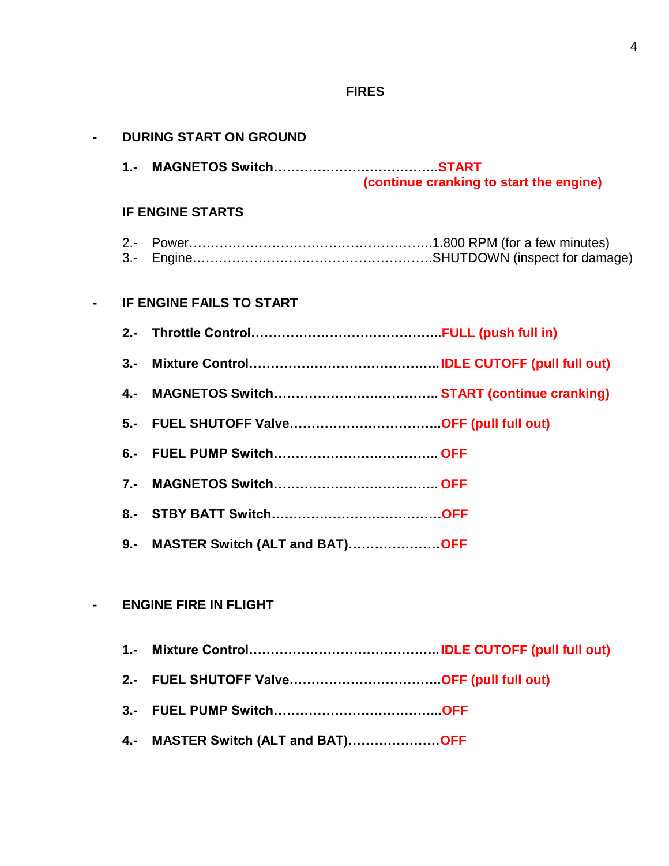# **FIRES**

|        | <b>DURING START ON GROUND</b>           |
|--------|-----------------------------------------|
|        | (continue cranking to start the engine) |
|        | <b>IF ENGINE STARTS</b>                 |
| $3 -$  |                                         |
|        | IF ENGINE FAILS TO START                |
|        |                                         |
| $3 -$  |                                         |
| $4. -$ |                                         |
| $5 -$  |                                         |
| $6 -$  |                                         |
| $7 -$  |                                         |
|        |                                         |
| $9 -$  | MASTER Switch (ALT and BAT)OFF          |
|        |                                         |
|        | <b>ENGINE FIRE IN FLIGHT</b>            |
| $1 -$  |                                         |
| $2 -$  |                                         |
| $3 -$  |                                         |
| 4.-    | MASTER Switch (ALT and BAT)OFF          |